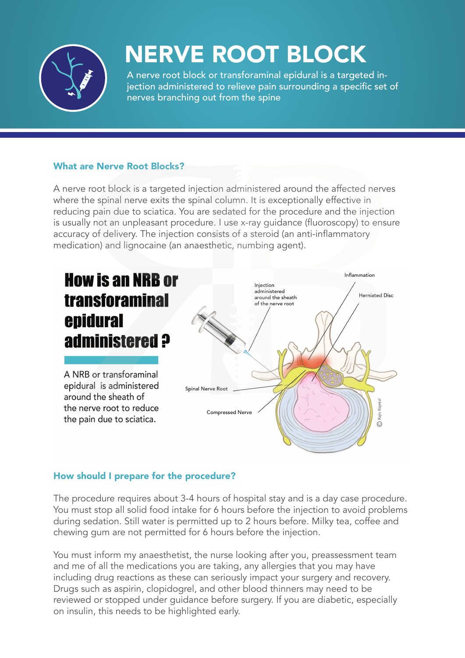

## NERVE ROOT BLOCK

A nerve root block or transforaminal epidural is a targeted injection administered to relieve pain surrounding a specific set of nerves branching out from the spine

#### What are Nerve Root Blocks?

A nerve root block is a targeted injection administered around the affected nerves where the spinal nerve exits the spinal column. It is exceptionally effective in reducing pain due to sciatica. You are sedated for the procedure and the injection is usually not an unpleasant procedure. I use x-ray guidance (fluoroscopy) to ensure accuracy of delivery. The injection consists of a steroid (an anti-inflammatory medication) and lignocaine (an anaesthetic, numbing agent).



#### How should I prepare for the procedure?

The procedure requires about 3-4 hours of hospital stay and is a day case procedure. You must stop all solid food intake for 6 hours before the injection to avoid problems during sedation. Still water is permitted up to 2 hours before. Milky tea, coffee and chewing gum are not permitted for 6 hours before the injection.

You must inform my anaesthetist, the nurse looking after you, preassessment team and me of all the medications you are taking, any allergies that you may have including drug reactions as these can seriously impact your surgery and recovery. Drugs such as aspirin, clopidogrel, and other blood thinners may need to be reviewed or stopped under guidance before surgery. If you are diabetic, especially on insulin, this needs to be highlighted early.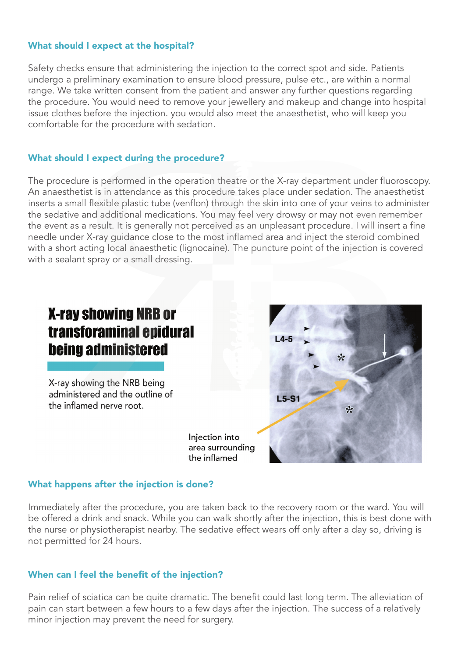#### What should I expect at the hospital?

Safety checks ensure that administering the injection to the correct spot and side. Patients undergo a preliminary examination to ensure blood pressure, pulse etc., are within a normal range. We take written consent from the patient and answer any further questions regarding the procedure. You would need to remove your jewellery and makeup and change into hospital issue clothes before the injection. you would also meet the anaesthetist, who will keep you comfortable for the procedure with sedation.

#### What should I expect during the procedure?

The procedure is performed in the operation theatre or the X-ray department under fluoroscopy. An anaesthetist is in attendance as this procedure takes place under sedation. The anaesthetist inserts a small flexible plastic tube (venflon) through the skin into one of your veins to administer the sedative and additional medications. You may feel very drowsy or may not even remember the event as a result. It is generally not perceived as an unpleasant procedure. I will insert a fine needle under X-ray guidance close to the most inflamed area and inject the steroid combined with a short acting local anaesthetic (lignocaine). The puncture point of the injection is covered with a sealant spray or a small dressing.

### **X-ray showing NRB or** transforaminal epidural **being administered**

X-ray showing the NRB being administered and the outline of the inflamed nerve root.

> Injection into area surrounding the inflamed

# $14.5$  $\star$  $L5-S1$ جايه

#### What happens after the injection is done?

Immediately after the procedure, you are taken back to the recovery room or the ward. You will be offered a drink and snack. While you can walk shortly after the injection, this is best done with the nurse or physiotherapist nearby. The sedative effect wears off only after a day so, driving is not permitted for 24 hours.

#### When can I feel the benefit of the injection?

Pain relief of sciatica can be quite dramatic. The benefit could last long term. The alleviation of pain can start between a few hours to a few days after the injection. The success of a relatively minor injection may prevent the need for surgery.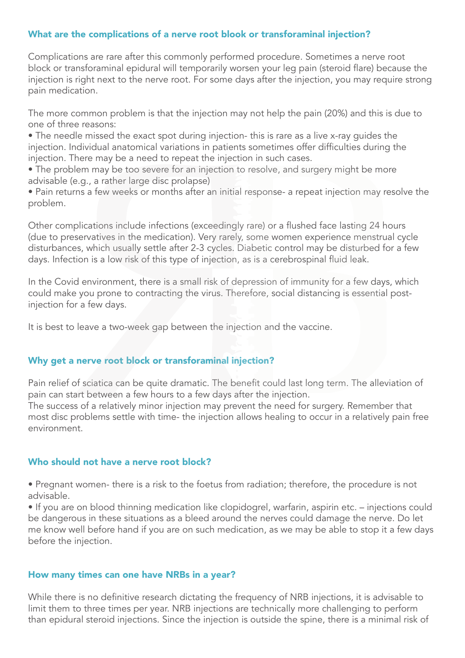#### What are the complications of a nerve root blook or transforaminal injection?

Complications are rare after this commonly performed procedure. Sometimes a nerve root block or transforaminal epidural will temporarily worsen your leg pain (steroid flare) because the injection is right next to the nerve root. For some days after the injection, you may require strong pain medication.

The more common problem is that the injection may not help the pain (20%) and this is due to one of three reasons:

• The needle missed the exact spot during injection- this is rare as a live x-ray guides the injection. Individual anatomical variations in patients sometimes offer difficulties during the injection. There may be a need to repeat the injection in such cases.

• The problem may be too severe for an injection to resolve, and surgery might be more advisable (e.g., a rather large disc prolapse)

• Pain returns a few weeks or months after an initial response- a repeat injection may resolve the problem.

Other complications include infections (exceedingly rare) or a flushed face lasting 24 hours (due to preservatives in the medication). Very rarely, some women experience menstrual cycle disturbances, which usually settle after 2-3 cycles. Diabetic control may be disturbed for a few days. Infection is a low risk of this type of injection, as is a cerebrospinal fluid leak.

In the Covid environment, there is a small risk of depression of immunity for a few days, which could make you prone to contracting the virus. Therefore, social distancing is essential postinjection for a few days.

It is best to leave a two-week gap between the injection and the vaccine.

#### Why get a nerve root block or transforaminal injection?

Pain relief of sciatica can be quite dramatic. The benefit could last long term. The alleviation of pain can start between a few hours to a few days after the injection.

The success of a relatively minor injection may prevent the need for surgery. Remember that most disc problems settle with time- the injection allows healing to occur in a relatively pain free environment.

#### Who should not have a nerve root block?

• Pregnant women- there is a risk to the foetus from radiation; therefore, the procedure is not advisable.

• If you are on blood thinning medication like clopidogrel, warfarin, aspirin etc. – injections could be dangerous in these situations as a bleed around the nerves could damage the nerve. Do let me know well before hand if you are on such medication, as we may be able to stop it a few days before the injection.

#### How many times can one have NRBs in a year?

While there is no definitive research dictating the frequency of NRB injections, it is advisable to limit them to three times per year. NRB injections are technically more challenging to perform than epidural steroid injections. Since the injection is outside the spine, there is a minimal risk of